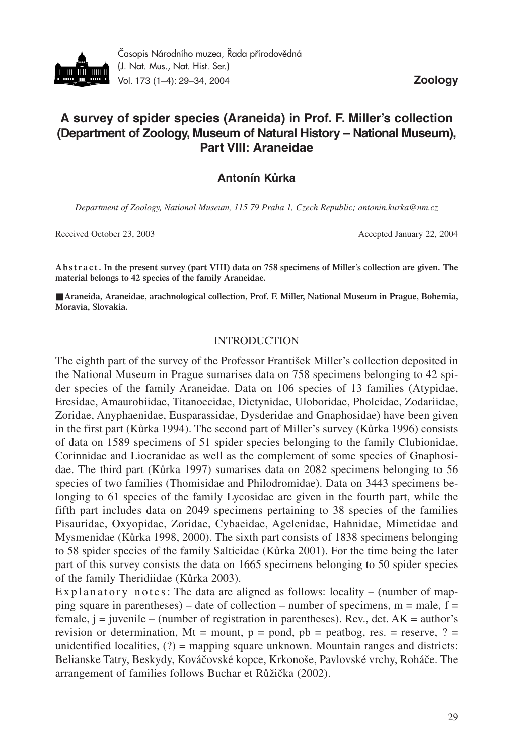

Časopis Národního muzea, Řada přírodovědná (J. Nat. Mus., Nat. Hist. Ser.) Vol. 173 (1–4): 29–34, 2004 **Zoology**

# **A survey of spider species (Araneida) in Prof. F. Miller's collection (Department of Zoology, Museum of Natural History – National Museum), Part VIII: Araneidae**

# **Antonín Kůrka**

*Department of Zoology, National Museum, 115 79 Praha 1, Czech Republic; antonin.kurka@nm.cz*

Received October 23, 2003 Accepted January 22, 2004

**A b s t r a c t . In the present survey (part VIII) data on 758 specimens of Miller's collection are given. The material belongs to 42 species of the family Araneidae.** 

■ Araneida, Araneidae, arachnological collection, Prof. F. Miller, National Museum in Prague, Bohemia, **Moravia, Slovakia.**

#### INTRODUCTION

The eighth part of the survey of the Professor František Miller's collection deposited in the National Museum in Prague sumarises data on 758 specimens belonging to 42 spider species of the family Araneidae. Data on 106 species of 13 families (Atypidae, Eresidae, Amaurobiidae, Titanoecidae, Dictynidae, Uloboridae, Pholcidae, Zodariidae, Zoridae, Anyphaenidae, Eusparassidae, Dysderidae and Gnaphosidae) have been given in the first part (Kůrka 1994). The second part of Miller's survey (Kůrka 1996) consists of data on 1589 specimens of 51 spider species belonging to the family Clubionidae, Corinnidae and Liocranidae as well as the complement of some species of Gnaphosidae. The third part (Kůrka 1997) sumarises data on 2082 specimens belonging to 56 species of two families (Thomisidae and Philodromidae). Data on 3443 specimens belonging to 61 species of the family Lycosidae are given in the fourth part, while the fifth part includes data on 2049 specimens pertaining to 38 species of the families Pisauridae, Oxyopidae, Zoridae, Cybaeidae, Agelenidae, Hahnidae, Mimetidae and Mysmenidae (Kůrka 1998, 2000). The sixth part consists of 1838 specimens belonging to 58 spider species of the family Salticidae (Kůrka 2001). For the time being the later part of this survey consists the data on 1665 specimens belonging to 50 spider species of the family Theridiidae (Kůrka 2003).

Explanatory notes: The data are aligned as follows: locality – (number of mapping square in parentheses) – date of collection – number of specimens,  $m = male$ ,  $f =$ female,  $j =$  juvenile – (number of registration in parentheses). Rev., det. AK = author's revision or determination, Mt = mount,  $p =$  pond,  $pb =$  peatbog, res. = reserve, ? = unidentified localities,  $(?)$  = mapping square unknown. Mountain ranges and districts: Belianske Tatry, Beskydy, Kováčovské kopce, Krkonoše, Pavlovské vrchy, Roháče. The arrangement of families follows Buchar et Růžička (2002).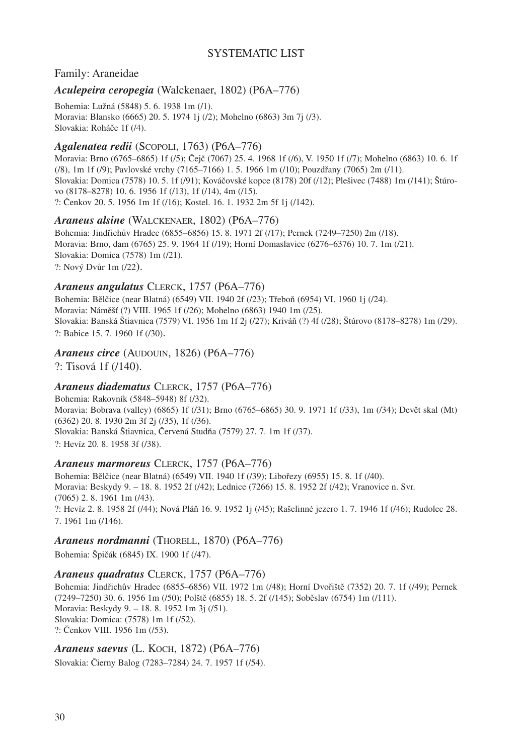# SYSTEMATIC LIST

### Family: Araneidae

### *Aculepeira ceropegia* (Walckenaer, 1802) (P6A–776)

Bohemia: Lužná (5848) 5. 6. 1938 1m (/1). Moravia: Blansko (6665) 20. 5. 1974 1j (/2); Mohelno (6863) 3m 7j (/3). Slovakia: Roháče 1f (/4).

# *Agalenatea redii* (SCOPOLI, 1763) (P6A–776)

Moravia: Brno (6765–6865) 1f (/5); Čejč (7067) 25. 4. 1968 1f (/6), V. 1950 1f (/7); Mohelno (6863) 10. 6. 1f (/8), 1m 1f (/9); Pavlovské vrchy (7165–7166) 1. 5. 1966 1m (/10); Pouzdřany (7065) 2m (/11). Slovakia: Domica (7578) 10. 5. 1f (/91); Kováčovské kopce (8178) 20f (/12); Plešivec (7488) 1m (/141); Štúrovo (8178–8278) 10. 6. 1956 1f (/13), 1f (/14), 4m (/15). ?: Čenkov 20. 5. 1956 1m 1f (/16); Kostel. 16. 1. 1932 2m 5f 1j (/142).

#### *Araneus alsine* (WALCKENAER, 1802) (P6A–776)

Bohemia: Jindřichův Hradec (6855–6856) 15. 8. 1971 2f (/17); Pernek (7249–7250) 2m (/18). Moravia: Brno, dam (6765) 25. 9. 1964 1f (/19); Horní Domaslavice (6276–6376) 10. 7. 1m (/21). Slovakia: Domica (7578) 1m (/21). ?: Nový Dvůr 1m (/22).

#### *Araneus angulatus* CLERCK, 1757 (P6A–776)

Bohemia: Bělčice (near Blatná) (6549) VII. 1940 2f (/23); Třeboň (6954) VI. 1960 1j (/24). Moravia: Náměšť (?) VIII. 1965 1f (/26); Mohelno (6863) 1940 1m (/25). Slovakia: Banská Štiavnica (7579) VI. 1956 1m 1f 2j (/27); Kriváň (?) 4f (/28); Štúrovo (8178–8278) 1m (/29). ?: Babice 15. 7. 1960 1f (/30).

# *Araneus circe* (AUDOUIN, 1826) (P6A–776)

?: Tisová 1f (/140).

#### *Araneus diadematus* CLERCK, 1757 (P6A–776)

Bohemia: Rakovník (5848–5948) 8f (/32). Moravia: Bobrava (valley) (6865) 1f (/31); Brno (6765–6865) 30. 9. 1971 1f (/33), 1m (/34); Devět skal (Mt) (6362) 20. 8. 1930 2m 3f 2j (/35), 1f (/36). Slovakia: Banská Štiavnica, Červená Studňa (7579) 27. 7. 1m 1f (/37). ?: Hevíz 20. 8. 1958 3f (/38).

#### *Araneus marmoreus* CLERCK, 1757 (P6A–776)

Bohemia: Bělčice (near Blatná) (6549) VII. 1940 1f (/39); Libořezy (6955) 15. 8. 1f (/40). Moravia: Beskydy 9. – 18. 8. 1952 2f (/42); Lednice (7266) 15. 8. 1952 2f (/42); Vranovice n. Svr. (7065) 2. 8. 1961 1m (/43). ?: Hevíz 2. 8. 1958 2f (/44); Nová Pláň 16. 9. 1952 1j (/45); Rašelinné jezero 1. 7. 1946 1f (/46); Rudolec 28. 7. 1961 1m (/146).

#### *Araneus nordmanni* (THORELL, 1870) (P6A–776)

Bohemia: Špičák (6845) IX. 1900 1f (/47).

#### *Araneus quadratus* CLERCK, 1757 (P6A–776)

Bohemia: Jindřichův Hradec (6855–6856) VII. 1972 1m (/48); Horní Dvořiště (7352) 20. 7. 1f (/49); Pernek (7249–7250) 30. 6. 1956 1m (/50); Polště (6855) 18. 5. 2f (/145); Soběslav (6754) 1m (/111). Moravia: Beskydy 9. – 18. 8. 1952 1m 3j (/51). Slovakia: Domica: (7578) 1m 1f (/52). ?: Čenkov VIII. 1956 1m (/53).

# *Araneus saevus* (L. KOCH, 1872) (P6A–776)

Slovakia: Čierny Balog (7283–7284) 24. 7. 1957 1f (/54).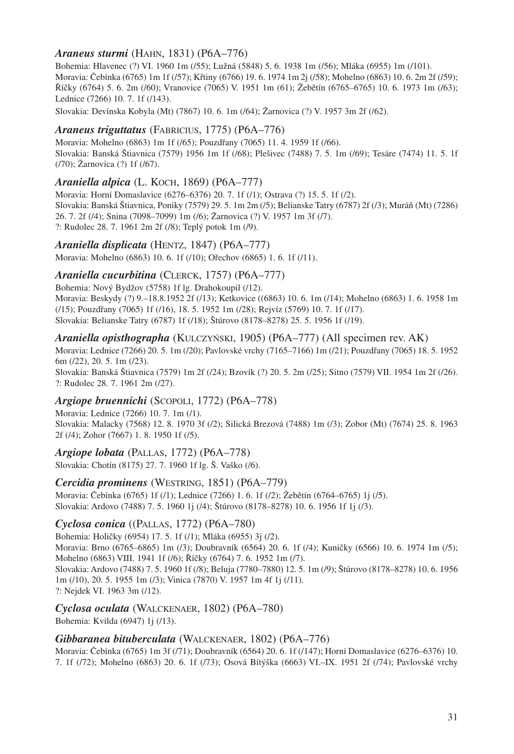# *Araneus sturmi* (HAHN, 1831) (P6A–776)

Bohemia: Hlavenec (?) VI. 1960 1m (/55); Lužná (5848) 5. 6. 1938 1m (/56); Mláka (6955) 1m (/101). Moravia: Čebínka (6765) 1m 1f (/57); Křtiny (6766) 19. 6. 1974 1m 2j (/58); Mohelno (6863) 10. 6. 2m 2f (/59); Říčky (6764) 5. 6. 2m (/60); Vranovice (7065) V. 1951 1m (61); Žebětín (6765–6765) 10. 6. 1973 1m (/63); Lednice (7266) 10. 7. 1f (/143).

Slovakia: Devínska Kobyla (Mt) (7867) 10. 6. 1m (/64); Žarnovica (?) V. 1957 3m 2f (/62).

### *Araneus triguttatus* (FABRICIUS, 1775) (P6A–776)

Moravia: Mohelno (6863) 1m 1f (/65); Pouzdřany (7065) 11. 4. 1959 1f (/66). Slovakia: Banská Štiavnica (7579) 1956 1m 1f (/68); Plešivec (7488) 7. 5. 1m (/69); Tesáre (7474) 11. 5. 1f (/70); Žarnovica (?) 1f (/67).

### *Araniella alpica* (L. KOCH, 1869) (P6A–777)

Moravia: Horní Domaslavice (6276–6376) 20. 7. 1f (/1); Ostrava (?) 15. 5. 1f (/2). Slovakia: Banská Štiavnica, Poniky (7579) 29. 5. 1m 2m (/5); Belianske Tatry (6787) 2f (/3); Muráň (Mt) (7286) 26. 7. 2f (/4); Snina (7098–7099) 1m (/6); Žarnovica (?) V. 1957 1m 3f (/7). ?: Rudolec 28. 7. 1961 2m 2f (/8); Teplý potok 1m (/9).

### *Araniella displicata* (HENTZ, 1847) (P6A–777)

Moravia: Mohelno (6863) 10. 6. 1f (/10); Ořechov (6865) 1. 6. 1f (/11).

### *Araniella cucurbitina* (CLERCK, 1757) (P6A–777)

Bohemia: Nový Bydžov (5758) 1f lg. Drahokoupil (/12). Moravia: Beskydy (?) 9.–18.8.1952 2f (/13); Ketkovice ((6863) 10. 6. 1m (/14); Mohelno (6863) 1. 6. 1958 1m (/15); Pouzdřany (7065) 1f (/16), 18. 5. 1952 1m (/28); Rejvíz (5769) 10. 7. 1f (/17). Slovakia: Belianske Tatry (6787) 1f (/18); Štúrovo (8178–8278) 25. 5. 1956 1f (/19).

#### *Araniella opisthographa* (KULCZYŃSKI, 1905) (P6A–777) (All specimen rev. AK)

Moravia: Lednice (7266) 20. 5. 1m (/20); Pavlovské vrchy (7165–7166) 1m (/21); Pouzdřany (7065) 18. 5. 1952 6m (/22), 20. 5. 1m (/23).

Slovakia: Banská Štiavnica (7579) 1m 2f (/24); Bzovík (?) 20. 5. 2m (/25); Sitno (7579) VII. 1954 1m 2f (/26). ?: Rudolec 28. 7. 1961 2m (/27).

#### *Argiope bruennichi* (SCOPOLI, 1772) (P6A–778)

Moravia: Lednice (7266) 10. 7. 1m (/1). Slovakia: Malacky (7568) 12. 8. 1970 3f (/2); Silická Brezová (7488) 1m (/3); Zobor (Mt) (7674) 25. 8. 1963 2f (/4); Zohor (7667) 1. 8. 1950 1f (/5).

# *Argiope lobata* (PALLAS, 1772) (P6A–778)

Slovakia: Chotín (8175) 27. 7. 1960 1f lg. Š. Vaško (/6).

### *Cercidia prominens* (WESTRING, 1851) (P6A–779)

Moravia: Čebínka (6765) 1f (/1); Lednice (7266) 1. 6. 1f (/2); Žebětín (6764–6765) 1j (/5). Slovakia: Ardovo (7488) 7. 5. 1960 1j (/4); Štúrovo (8178–8278) 10. 6. 1956 1f 1j (/3).

#### *Cyclosa conica* ((PALLAS, 1772) (P6A–780)

Bohemia: Holičky (6954) 17. 5. 1f (/1); Mláka (6955) 3j (/2). Moravia: Brno (6765–6865) 1m (/3); Doubravník (6564) 20. 6. 1f (/4); Kuničky (6566) 10. 6. 1974 1m (/5); Mohelno (6863) VIII. 1941 1f (/6); Říčky (6764) 7. 6. 1952 1m (/7). Slovakia: Ardovo (7488) 7. 5. 1960 1f (/8); Beluja (7780–7880) 12. 5. 1m (/9); Štúrovo (8178–8278) 10. 6. 1956 1m (/10), 20. 5. 1955 1m (/3); Vinica (7870) V. 1957 1m 4f 1j (/11). ?: Nejdek VI. 1963 3m (/12).

#### *Cyclosa oculata* (WALCKENAER, 1802) (P6A–780)

Bohemia: Kvilda (6947) 1j (/13).

#### *Gibbaranea bituberculata* (WALCKENAER, 1802) (P6A–776)

Moravia: Čebínka (6765) 1m 3f (/71); Doubravník (6564) 20. 6. 1f (/147); Horní Domaslavice (6276–6376) 10. 7. 1f (/72); Mohelno (6863) 20. 6. 1f (/73); Osová Bítýška (6663) VI.–IX. 1951 2f (/74); Pavlovské vrchy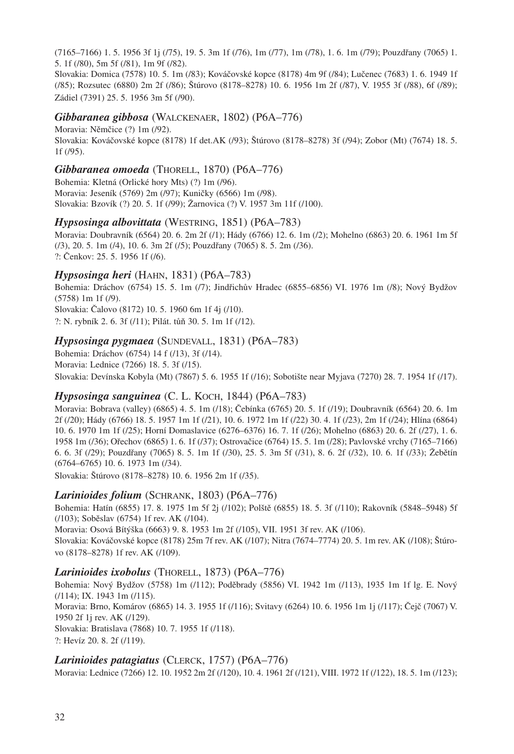(7165–7166) 1. 5. 1956 3f 1j (/75), 19. 5. 3m 1f (/76), 1m (/77), 1m (/78), 1. 6. 1m (/79); Pouzdřany (7065) 1. 5. 1f (/80), 5m 5f (/81), 1m 9f (/82).

Slovakia: Domica (7578) 10. 5. 1m (/83); Kováčovské kopce (8178) 4m 9f (/84); Lučenec (7683) 1. 6. 1949 1f (/85); Rozsutec (6880) 2m 2f (/86); Štúrovo (8178–8278) 10. 6. 1956 1m 2f (/87), V. 1955 3f (/88), 6f (/89); Zádiel (7391) 25. 5. 1956 3m 5f (/90).

### *Gibbaranea gibbosa* (WALCKENAER, 1802) (P6A–776)

Moravia: Němčice (?) 1m (/92). Slovakia: Kováčovské kopce (8178) 1f det.AK (/93); Štúrovo (8178–8278) 3f (/94); Zobor (Mt) (7674) 18. 5. 1f (/95).

### *Gibbaranea omoeda* (THORELL, 1870) (P6A–776)

Bohemia: Kletná (Orlické hory Mts) (?) 1m (/96). Moravia: Jeseník (5769) 2m (/97); Kuničky (6566) 1m (/98). Slovakia: Bzovík (?) 20. 5. 1f (/99); Žarnovica (?) V. 1957 3m 11f (/100).

### *Hypsosinga albovittata* (WESTRING, 1851) (P6A–783)

Moravia: Doubravník (6564) 20. 6. 2m 2f (/1); Hády (6766) 12. 6. 1m (/2); Mohelno (6863) 20. 6. 1961 1m 5f (/3), 20. 5. 1m (/4), 10. 6. 3m 2f (/5); Pouzdřany (7065) 8. 5. 2m (/36). ?: Čenkov: 25. 5. 1956 1f (/6).

# *Hypsosinga heri* (HAHN, 1831) (P6A–783)

Bohemia: Dráchov (6754) 15. 5. 1m (/7); Jindřichův Hradec (6855–6856) VI. 1976 1m (/8); Nový Bydžov (5758) 1m 1f (/9). Slovakia: Čalovo (8172) 10. 5. 1960 6m 1f 4j (/10).

?: N. rybník 2. 6. 3f (/11); Pilát. tůň 30. 5. 1m 1f (/12).

### *Hypsosinga pygmaea* (SUNDEVALL, 1831) (P6A–783)

Bohemia: Dráchov (6754) 14 f (/13), 3f (/14). Moravia: Lednice (7266) 18. 5. 3f (/15). Slovakia: Devínska Kobyla (Mt) (7867) 5. 6. 1955 1f (/16); Sobotište near Myjava (7270) 28. 7. 1954 1f (/17).

# *Hypsosinga sanguinea* (C. L. KOCH, 1844) (P6A–783)

Moravia: Bobrava (valley) (6865) 4. 5. 1m (/18); Čebínka (6765) 20. 5. 1f (/19); Doubravník (6564) 20. 6. 1m 2f (/20); Hády (6766) 18. 5. 1957 1m 1f (/21), 10. 6. 1972 1m 1f (/22) 30. 4. 1f (/23), 2m 1f (/24); Hlína (6864) 10. 6. 1970 1m 1f (/25); Horní Domaslavice (6276–6376) 16. 7. 1f (/26); Mohelno (6863) 20. 6. 2f (/27), 1. 6. 1958 1m (/36); Ořechov (6865) 1. 6. 1f (/37); Ostrovačice (6764) 15. 5. 1m (/28); Pavlovské vrchy (7165–7166) 6. 6. 3f (/29); Pouzdřany (7065) 8. 5. 1m 1f (/30), 25. 5. 3m 5f (/31), 8. 6. 2f (/32), 10. 6. 1f (/33); Žebětín (6764–6765) 10. 6. 1973 1m (/34).

Slovakia: Štúrovo (8178–8278) 10. 6. 1956 2m 1f (/35).

# *Larinioides folium* (SCHRANK, 1803) (P6A–776)

Bohemia: Hatín (6855) 17. 8. 1975 1m 5f 2j (/102); Polště (6855) 18. 5. 3f (/110); Rakovník (5848–5948) 5f (/103); Soběslav (6754) 1f rev. AK (/104).

Moravia: Osová Bítýška (6663) 9. 8. 1953 1m 2f (/105), VII. 1951 3f rev. AK (/106).

Slovakia: Kováčovské kopce (8178) 25m 7f rev. AK (/107); Nitra (7674–7774) 20. 5. 1m rev. AK (/108); Štúrovo (8178–8278) 1f rev. AK (/109).

# *Larinioides ixobolus* (THORELL, 1873) (P6A–776)

Bohemia: Nový Bydžov (5758) 1m (/112); Poděbrady (5856) VI. 1942 1m (/113), 1935 1m 1f lg. E. Nový (/114); IX. 1943 1m (/115). Moravia: Brno, Komárov (6865) 14. 3. 1955 1f (/116); Svitavy (6264) 10. 6. 1956 1m 1j (/117); Čejč (7067) V. 1950 2f 1j rev. AK (/129). Slovakia: Bratislava (7868) 10. 7. 1955 1f (/118). ?: Hevíz 20. 8. 2f (/119).

#### *Larinioides patagiatus* (CLERCK, 1757) (P6A–776)

Moravia: Lednice (7266) 12. 10. 1952 2m 2f (/120), 10. 4. 1961 2f (/121), VIII. 1972 1f (/122), 18. 5. 1m (/123);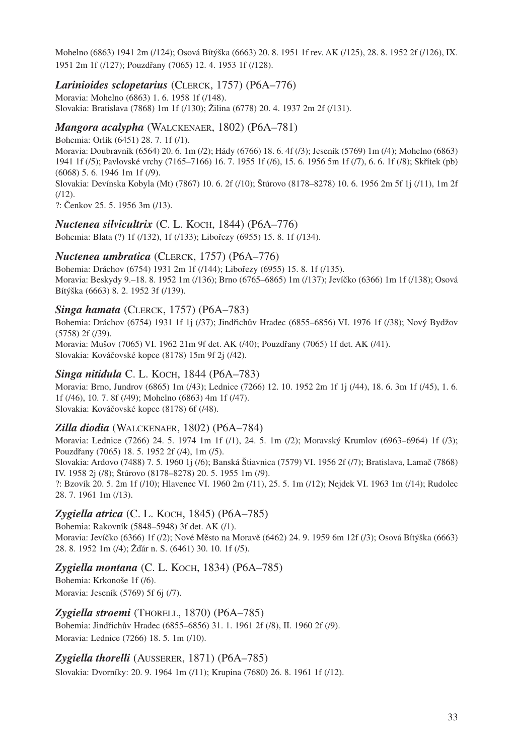Mohelno (6863) 1941 2m (/124); Osová Bítýška (6663) 20. 8. 1951 1f rev. AK (/125), 28. 8. 1952 2f (/126), IX. 1951 2m 1f (/127); Pouzdřany (7065) 12. 4. 1953 1f (/128).

#### *Larinioides sclopetarius* (CLERCK, 1757) (P6A–776)

Moravia: Mohelno (6863) 1. 6. 1958 1f (/148). Slovakia: Bratislava (7868) 1m 1f (/130); Žilina (6778) 20. 4. 1937 2m 2f (/131).

#### *Mangora acalypha* (WALCKENAER, 1802) (P6A–781)

Bohemia: Orlík (6451) 28. 7. 1f (/1). Moravia: Doubravník (6564) 20. 6. 1m (/2); Hády (6766) 18. 6. 4f (/3); Jeseník (5769) 1m (/4); Mohelno (6863) 1941 1f (/5); Pavlovské vrchy (7165–7166) 16. 7. 1955 1f (/6), 15. 6. 1956 5m 1f (/7), 6. 6. 1f (/8); Skřítek (pb) (6068) 5. 6. 1946 1m 1f (/9).

Slovakia: Devínska Kobyla (Mt) (7867) 10. 6. 2f (/10); Štúrovo (8178–8278) 10. 6. 1956 2m 5f 1j (/11), 1m 2f  $(112)$ .

?: Čenkov 25. 5. 1956 3m (/13).

#### *Nuctenea silvicultrix* (C. L. KOCH, 1844) (P6A–776)

Bohemia: Blata (?) 1f (/132), 1f (/133); Libořezy (6955) 15. 8. 1f (/134).

#### *Nuctenea umbratica* (CLERCK, 1757) (P6A–776)

Bohemia: Dráchov (6754) 1931 2m 1f (/144); Libořezy (6955) 15. 8. 1f (/135). Moravia: Beskydy 9.–18. 8. 1952 1m (/136); Brno (6765–6865) 1m (/137); Jevíčko (6366) 1m 1f (/138); Osová Bítýška (6663) 8. 2. 1952 3f (/139).

#### *Singa hamata* (CLERCK, 1757) (P6A–783)

Bohemia: Dráchov (6754) 1931 1f 1j (/37); Jindřichův Hradec (6855–6856) VI. 1976 1f (/38); Nový Bydžov (5758) 2f (/39). Moravia: Mušov (7065) VI. 1962 21m 9f det. AK (/40); Pouzdřany (7065) 1f det. AK (/41). Slovakia: Kováčovské kopce (8178) 15m 9f 2j (/42).

# *Singa nitidula* С. L. Косн, 1844 (P6А–783)

Moravia: Brno, Jundrov (6865) 1m (/43); Lednice (7266) 12. 10. 1952 2m 1f 1j (/44), 18. 6. 3m 1f (/45), 1. 6. 1f (/46), 10. 7. 8f (/49); Mohelno (6863) 4m 1f (/47). Slovakia: Kováčovské kopce (8178) 6f (/48).

#### *Zilla diodia* (WALCKENAER, 1802) (P6A–784)

Moravia: Lednice (7266) 24. 5. 1974 1m 1f (/1), 24. 5. 1m (/2); Moravský Krumlov (6963–6964) 1f (/3); Pouzdřany (7065) 18. 5. 1952 2f (/4), 1m (/5). Slovakia: Ardovo (7488) 7. 5. 1960 1j (/6); Banská Štiavnica (7579) VI. 1956 2f (/7); Bratislava, Lamač (7868) IV. 1958 2j (/8); Štúrovo (8178–8278) 20. 5. 1955 1m (/9). ?: Bzovík 20. 5. 2m 1f (/10); Hlavenec VI. 1960 2m (/11), 25. 5. 1m (/12); Nejdek VI. 1963 1m (/14); Rudolec 28. 7. 1961 1m (/13).

#### *Zygiella atrica* (C. L. KOCH, 1845) (P6A–785)

Bohemia: Rakovník (5848–5948) 3f det. AK (/1). Moravia: Jevíčko (6366) 1f (/2); Nové Město na Moravě (6462) 24. 9. 1959 6m 12f (/3); Osová Bítýška (6663) 28. 8. 1952 1m (/4); Žďár n. S. (6461) 30. 10. 1f (/5).

#### *Zygiella montana* (C. L. KOCH, 1834) (P6A–785)

Bohemia: Krkonoše 1f (/6). Moravia: Jeseník (5769) 5f 6j (/7).

*Zygiella stroemi* (THORELL, 1870) (P6A–785)

Bohemia: Jindřichův Hradec (6855–6856) 31. 1. 1961 2f (/8), II. 1960 2f (/9). Moravia: Lednice (7266) 18. 5. 1m (/10).

*Zygiella thorelli* (AUSSERER, 1871) (P6A–785)

Slovakia: Dvorníky: 20. 9. 1964 1m (/11); Krupina (7680) 26. 8. 1961 1f (/12).